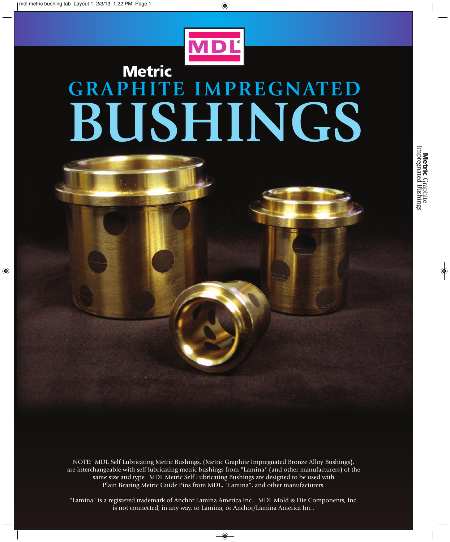$\Rightarrow$ 



◈

## **Metric GRAPHITE IMPREGNATED BUSHINGS**



"Lamina" is a registered trademark of Anchor Lamina America Inc.. MDL Mold & Die Components, Inc. is not connected, in any way, to Lamina, or Anchor/Lamina America Inc..

 $\overline{\bullet}$ 

 $\bigcirc$